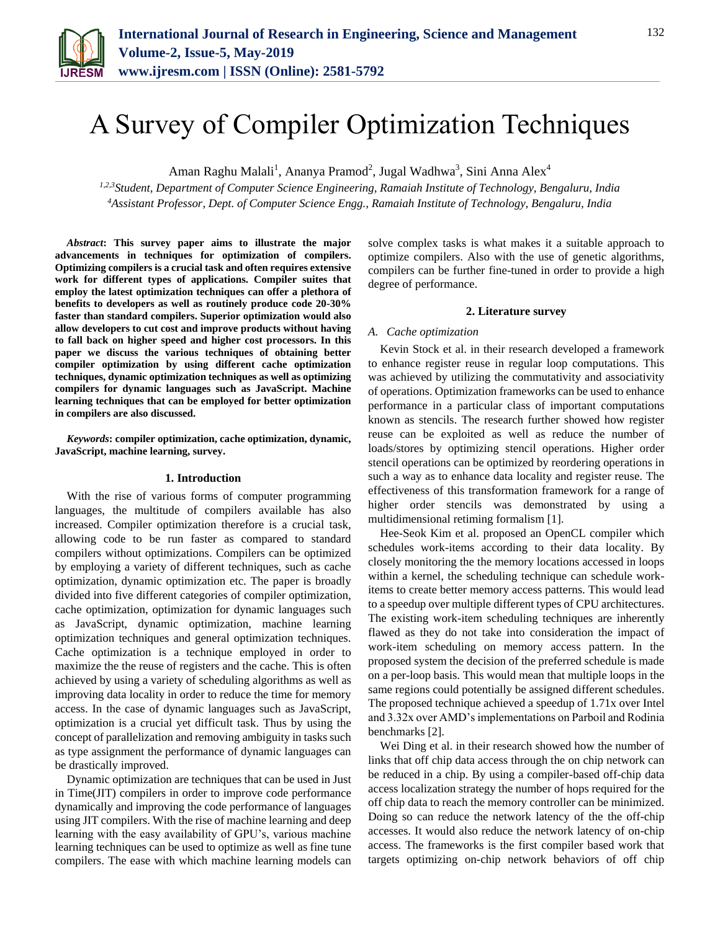

# A Survey of Compiler Optimization Techniques

Aman Raghu Malali<sup>1</sup>, Ananya Pramod<sup>2</sup>, Jugal Wadhwa<sup>3</sup>, Sini Anna Alex<sup>4</sup>

*1,2,3Student, Department of Computer Science Engineering, Ramaiah Institute of Technology, Bengaluru, India 4Assistant Professor, Dept. of Computer Science Engg., Ramaiah Institute of Technology, Bengaluru, India*

*Abstract***: This survey paper aims to illustrate the major advancements in techniques for optimization of compilers. Optimizing compilers is a crucial task and often requires extensive work for different types of applications. Compiler suites that employ the latest optimization techniques can offer a plethora of benefits to developers as well as routinely produce code 20-30% faster than standard compilers. Superior optimization would also allow developers to cut cost and improve products without having to fall back on higher speed and higher cost processors. In this paper we discuss the various techniques of obtaining better compiler optimization by using different cache optimization techniques, dynamic optimization techniques as well as optimizing compilers for dynamic languages such as JavaScript. Machine learning techniques that can be employed for better optimization in compilers are also discussed.** 

*Keywords***: compiler optimization, cache optimization, dynamic, JavaScript, machine learning, survey.**

## **1. Introduction**

With the rise of various forms of computer programming languages, the multitude of compilers available has also increased. Compiler optimization therefore is a crucial task, allowing code to be run faster as compared to standard compilers without optimizations. Compilers can be optimized by employing a variety of different techniques, such as cache optimization, dynamic optimization etc. The paper is broadly divided into five different categories of compiler optimization, cache optimization, optimization for dynamic languages such as JavaScript, dynamic optimization, machine learning optimization techniques and general optimization techniques. Cache optimization is a technique employed in order to maximize the the reuse of registers and the cache. This is often achieved by using a variety of scheduling algorithms as well as improving data locality in order to reduce the time for memory access. In the case of dynamic languages such as JavaScript, optimization is a crucial yet difficult task. Thus by using the concept of parallelization and removing ambiguity in tasks such as type assignment the performance of dynamic languages can be drastically improved.

Dynamic optimization are techniques that can be used in Just in Time(JIT) compilers in order to improve code performance dynamically and improving the code performance of languages using JIT compilers. With the rise of machine learning and deep learning with the easy availability of GPU's, various machine learning techniques can be used to optimize as well as fine tune compilers. The ease with which machine learning models can

solve complex tasks is what makes it a suitable approach to optimize compilers. Also with the use of genetic algorithms, compilers can be further fine-tuned in order to provide a high degree of performance.

### **2. Literature survey**

## *A. Cache optimization*

Kevin Stock et al. in their research developed a framework to enhance register reuse in regular loop computations. This was achieved by utilizing the commutativity and associativity of operations. Optimization frameworks can be used to enhance performance in a particular class of important computations known as stencils. The research further showed how register reuse can be exploited as well as reduce the number of loads/stores by optimizing stencil operations. Higher order stencil operations can be optimized by reordering operations in such a way as to enhance data locality and register reuse. The effectiveness of this transformation framework for a range of higher order stencils was demonstrated by using a multidimensional retiming formalism [1].

Hee-Seok Kim et al. proposed an OpenCL compiler which schedules work-items according to their data locality. By closely monitoring the the memory locations accessed in loops within a kernel, the scheduling technique can schedule workitems to create better memory access patterns. This would lead to a speedup over multiple different types of CPU architectures. The existing work-item scheduling techniques are inherently flawed as they do not take into consideration the impact of work-item scheduling on memory access pattern. In the proposed system the decision of the preferred schedule is made on a per-loop basis. This would mean that multiple loops in the same regions could potentially be assigned different schedules. The proposed technique achieved a speedup of 1.71x over Intel and 3.32x over AMD's implementations on Parboil and Rodinia benchmarks [2].

Wei Ding et al. in their research showed how the number of links that off chip data access through the on chip network can be reduced in a chip. By using a compiler-based off-chip data access localization strategy the number of hops required for the off chip data to reach the memory controller can be minimized. Doing so can reduce the network latency of the the off-chip accesses. It would also reduce the network latency of on-chip access. The frameworks is the first compiler based work that targets optimizing on-chip network behaviors of off chip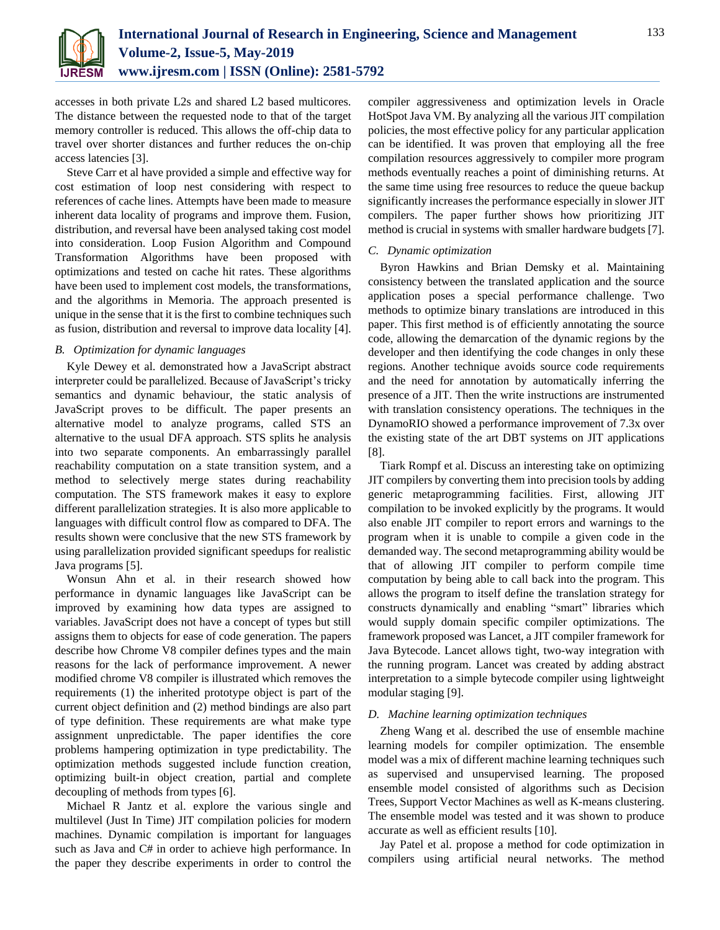

accesses in both private L2s and shared L2 based multicores. The distance between the requested node to that of the target memory controller is reduced. This allows the off-chip data to travel over shorter distances and further reduces the on-chip access latencies [3].

Steve Carr et al have provided a simple and effective way for cost estimation of loop nest considering with respect to references of cache lines. Attempts have been made to measure inherent data locality of programs and improve them. Fusion, distribution, and reversal have been analysed taking cost model into consideration. Loop Fusion Algorithm and Compound Transformation Algorithms have been proposed with optimizations and tested on cache hit rates. These algorithms have been used to implement cost models, the transformations, and the algorithms in Memoria. The approach presented is unique in the sense that it is the first to combine techniques such as fusion, distribution and reversal to improve data locality [4].

## *B. Optimization for dynamic languages*

Kyle Dewey et al. demonstrated how a JavaScript abstract interpreter could be parallelized. Because of JavaScript's tricky semantics and dynamic behaviour, the static analysis of JavaScript proves to be difficult. The paper presents an alternative model to analyze programs, called STS an alternative to the usual DFA approach. STS splits he analysis into two separate components. An embarrassingly parallel reachability computation on a state transition system, and a method to selectively merge states during reachability computation. The STS framework makes it easy to explore different parallelization strategies. It is also more applicable to languages with difficult control flow as compared to DFA. The results shown were conclusive that the new STS framework by using parallelization provided significant speedups for realistic Java programs [5].

Wonsun Ahn et al. in their research showed how performance in dynamic languages like JavaScript can be improved by examining how data types are assigned to variables. JavaScript does not have a concept of types but still assigns them to objects for ease of code generation. The papers describe how Chrome V8 compiler defines types and the main reasons for the lack of performance improvement. A newer modified chrome V8 compiler is illustrated which removes the requirements (1) the inherited prototype object is part of the current object definition and (2) method bindings are also part of type definition. These requirements are what make type assignment unpredictable. The paper identifies the core problems hampering optimization in type predictability. The optimization methods suggested include function creation, optimizing built-in object creation, partial and complete decoupling of methods from types [6].

Michael R Jantz et al. explore the various single and multilevel (Just In Time) JIT compilation policies for modern machines. Dynamic compilation is important for languages such as Java and C# in order to achieve high performance. In the paper they describe experiments in order to control the

compiler aggressiveness and optimization levels in Oracle HotSpot Java VM. By analyzing all the various JIT compilation policies, the most effective policy for any particular application can be identified. It was proven that employing all the free compilation resources aggressively to compiler more program methods eventually reaches a point of diminishing returns. At the same time using free resources to reduce the queue backup significantly increases the performance especially in slower JIT compilers. The paper further shows how prioritizing JIT method is crucial in systems with smaller hardware budgets [7].

# *C. Dynamic optimization*

Byron Hawkins and Brian Demsky et al. Maintaining consistency between the translated application and the source application poses a special performance challenge. Two methods to optimize binary translations are introduced in this paper. This first method is of efficiently annotating the source code, allowing the demarcation of the dynamic regions by the developer and then identifying the code changes in only these regions. Another technique avoids source code requirements and the need for annotation by automatically inferring the presence of a JIT. Then the write instructions are instrumented with translation consistency operations. The techniques in the DynamoRIO showed a performance improvement of 7.3x over the existing state of the art DBT systems on JIT applications [8].

Tiark Rompf et al. Discuss an interesting take on optimizing JIT compilers by converting them into precision tools by adding generic metaprogramming facilities. First, allowing JIT compilation to be invoked explicitly by the programs. It would also enable JIT compiler to report errors and warnings to the program when it is unable to compile a given code in the demanded way. The second metaprogramming ability would be that of allowing JIT compiler to perform compile time computation by being able to call back into the program. This allows the program to itself define the translation strategy for constructs dynamically and enabling "smart" libraries which would supply domain specific compiler optimizations. The framework proposed was Lancet, a JIT compiler framework for Java Bytecode. Lancet allows tight, two-way integration with the running program. Lancet was created by adding abstract interpretation to a simple bytecode compiler using lightweight modular staging [9].

# *D. Machine learning optimization techniques*

Zheng Wang et al. described the use of ensemble machine learning models for compiler optimization. The ensemble model was a mix of different machine learning techniques such as supervised and unsupervised learning. The proposed ensemble model consisted of algorithms such as Decision Trees, Support Vector Machines as well as K-means clustering. The ensemble model was tested and it was shown to produce accurate as well as efficient results [10].

Jay Patel et al. propose a method for code optimization in compilers using artificial neural networks. The method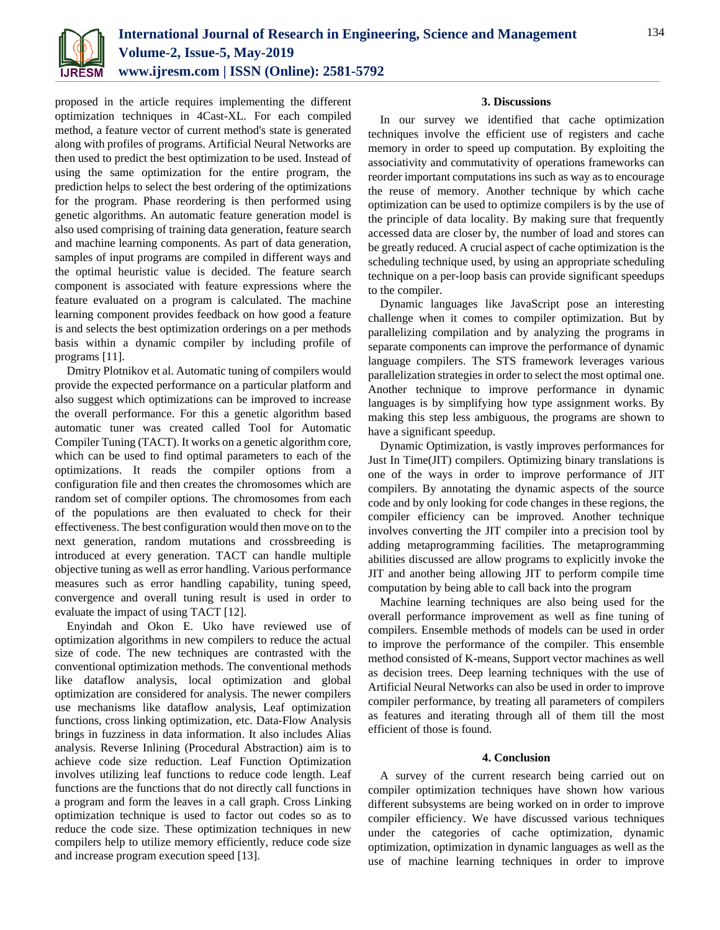

proposed in the article requires implementing the different optimization techniques in 4Cast-XL. For each compiled method, a feature vector of current method's state is generated along with profiles of programs. Artificial Neural Networks are then used to predict the best optimization to be used. Instead of using the same optimization for the entire program, the prediction helps to select the best ordering of the optimizations for the program. Phase reordering is then performed using genetic algorithms. An automatic feature generation model is also used comprising of training data generation, feature search and machine learning components. As part of data generation, samples of input programs are compiled in different ways and the optimal heuristic value is decided. The feature search component is associated with feature expressions where the feature evaluated on a program is calculated. The machine learning component provides feedback on how good a feature is and selects the best optimization orderings on a per methods basis within a dynamic compiler by including profile of programs [11].

Dmitry Plotnikov et al. Automatic tuning of compilers would provide the expected performance on a particular platform and also suggest which optimizations can be improved to increase the overall performance. For this a genetic algorithm based automatic tuner was created called Tool for Automatic Compiler Tuning (TACT). It works on a genetic algorithm core, which can be used to find optimal parameters to each of the optimizations. It reads the compiler options from a configuration file and then creates the chromosomes which are random set of compiler options. The chromosomes from each of the populations are then evaluated to check for their effectiveness. The best configuration would then move on to the next generation, random mutations and crossbreeding is introduced at every generation. TACT can handle multiple objective tuning as well as error handling. Various performance measures such as error handling capability, tuning speed, convergence and overall tuning result is used in order to evaluate the impact of using TACT [12].

Enyindah and Okon E. Uko have reviewed use of optimization algorithms in new compilers to reduce the actual size of code. The new techniques are contrasted with the conventional optimization methods. The conventional methods like dataflow analysis, local optimization and global optimization are considered for analysis. The newer compilers use mechanisms like dataflow analysis, Leaf optimization functions, cross linking optimization, etc. Data-Flow Analysis brings in fuzziness in data information. It also includes Alias analysis. Reverse Inlining (Procedural Abstraction) aim is to achieve code size reduction. Leaf Function Optimization involves utilizing leaf functions to reduce code length. Leaf functions are the functions that do not directly call functions in a program and form the leaves in a call graph. Cross Linking optimization technique is used to factor out codes so as to reduce the code size. These optimization techniques in new compilers help to utilize memory efficiently, reduce code size and increase program execution speed [13].

## **3. Discussions**

In our survey we identified that cache optimization techniques involve the efficient use of registers and cache memory in order to speed up computation. By exploiting the associativity and commutativity of operations frameworks can reorder important computations ins such as way as to encourage the reuse of memory. Another technique by which cache optimization can be used to optimize compilers is by the use of the principle of data locality. By making sure that frequently accessed data are closer by, the number of load and stores can be greatly reduced. A crucial aspect of cache optimization is the scheduling technique used, by using an appropriate scheduling technique on a per-loop basis can provide significant speedups to the compiler.

Dynamic languages like JavaScript pose an interesting challenge when it comes to compiler optimization. But by parallelizing compilation and by analyzing the programs in separate components can improve the performance of dynamic language compilers. The STS framework leverages various parallelization strategies in order to select the most optimal one. Another technique to improve performance in dynamic languages is by simplifying how type assignment works. By making this step less ambiguous, the programs are shown to have a significant speedup.

Dynamic Optimization, is vastly improves performances for Just In Time(JIT) compilers. Optimizing binary translations is one of the ways in order to improve performance of JIT compilers. By annotating the dynamic aspects of the source code and by only looking for code changes in these regions, the compiler efficiency can be improved. Another technique involves converting the JIT compiler into a precision tool by adding metaprogramming facilities. The metaprogramming abilities discussed are allow programs to explicitly invoke the JIT and another being allowing JIT to perform compile time computation by being able to call back into the program

Machine learning techniques are also being used for the overall performance improvement as well as fine tuning of compilers. Ensemble methods of models can be used in order to improve the performance of the compiler. This ensemble method consisted of K-means, Support vector machines as well as decision trees. Deep learning techniques with the use of Artificial Neural Networks can also be used in order to improve compiler performance, by treating all parameters of compilers as features and iterating through all of them till the most efficient of those is found.

## **4. Conclusion**

A survey of the current research being carried out on compiler optimization techniques have shown how various different subsystems are being worked on in order to improve compiler efficiency. We have discussed various techniques under the categories of cache optimization, dynamic optimization, optimization in dynamic languages as well as the use of machine learning techniques in order to improve